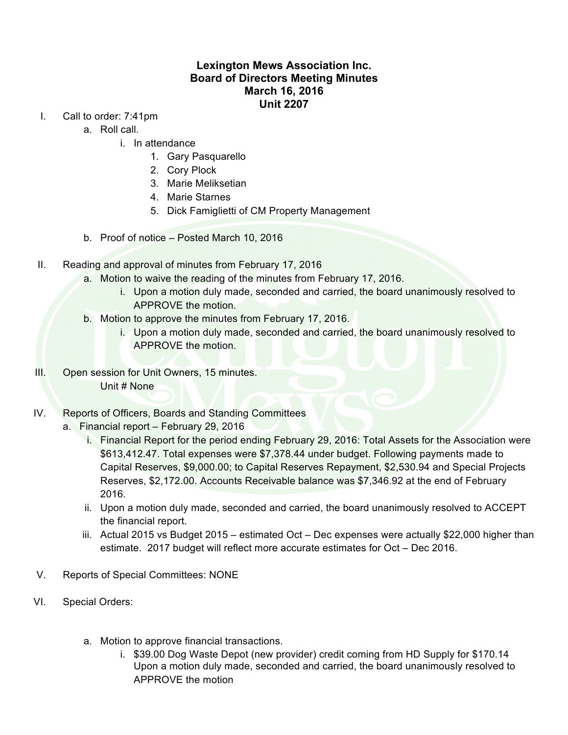## **Lexington Mews Association Inc. Board of Directors Meeting Minutes March 16, 2016 Unit 2207**

- I. Call to order: 7:41pm
	- a. Roll call.
		- i. In attendance
			- 1. Gary Pasquarello
			- 2. Cory Plock
			- 3. Marie Meliksetian
			- 4. Marie Starnes
			- 5. Dick Famiglietti of CM Property Management
	- b. Proof of notice Posted March 10, 2016
- II. Reading and approval of minutes from February 17, 2016
	- a. Motion to waive the reading of the minutes from February 17, 2016.
		- i. Upon a motion duly made, seconded and carried, the board unanimously resolved to APPROVE the motion.
	- b. Motion to approve the minutes from February 17, 2016.
		- i. Upon a motion duly made, seconded and carried, the board unanimously resolved to APPROVE the motion.
- III. Open session for Unit Owners, 15 minutes. Unit # None
- IV. Reports of Officers, Boards and Standing Committees
	- a. Financial report February 29, 2016
		- i. Financial Report for the period ending February 29, 2016: Total Assets for the Association were \$613,412.47. Total expenses were \$7,378.44 under budget. Following payments made to Capital Reserves, \$9,000.00; to Capital Reserves Repayment, \$2,530.94 and Special Projects Reserves, \$2,172.00. Accounts Receivable balance was \$7,346.92 at the end of February 2016.
		- ii. Upon a motion duly made, seconded and carried, the board unanimously resolved to ACCEPT the financial report.
		- iii. Actual 2015 vs Budget 2015 estimated Oct Dec expenses were actually \$22,000 higher than estimate. 2017 budget will reflect more accurate estimates for Oct – Dec 2016.
- V. Reports of Special Committees: NONE
- VI. Special Orders:
	- a. Motion to approve financial transactions.
		- i. \$39.00 Dog Waste Depot (new provider) credit coming from HD Supply for \$170.14 Upon a motion duly made, seconded and carried, the board unanimously resolved to APPROVE the motion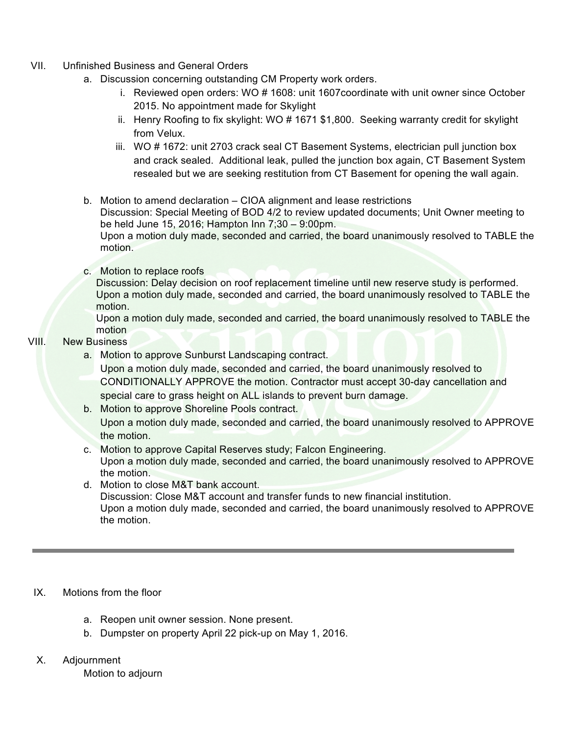- VII. Unfinished Business and General Orders
	- a. Discussion concerning outstanding CM Property work orders.
		- i. Reviewed open orders: WO # 1608: unit 1607coordinate with unit owner since October 2015. No appointment made for Skylight
		- ii. Henry Roofing to fix skylight: WO # 1671 \$1,800. Seeking warranty credit for skylight from Velux.
		- iii. WO # 1672: unit 2703 crack seal CT Basement Systems, electrician pull junction box and crack sealed. Additional leak, pulled the junction box again, CT Basement System resealed but we are seeking restitution from CT Basement for opening the wall again.
	- b. Motion to amend declaration CIOA alignment and lease restrictions

Discussion: Special Meeting of BOD 4/2 to review updated documents; Unit Owner meeting to be held June 15, 2016; Hampton Inn 7;30 – 9:00pm.

Upon a motion duly made, seconded and carried, the board unanimously resolved to TABLE the motion.

c. Motion to replace roofs

Discussion: Delay decision on roof replacement timeline until new reserve study is performed. Upon a motion duly made, seconded and carried, the board unanimously resolved to TABLE the motion.

Upon a motion duly made, seconded and carried, the board unanimously resolved to TABLE the motion

## VIII. New Business

a. Motion to approve Sunburst Landscaping contract.

Upon a motion duly made, seconded and carried, the board unanimously resolved to CONDITIONALLY APPROVE the motion. Contractor must accept 30-day cancellation and special care to grass height on ALL islands to prevent burn damage.

- b. Motion to approve Shoreline Pools contract. Upon a motion duly made, seconded and carried, the board unanimously resolved to APPROVE the motion.
- c. Motion to approve Capital Reserves study; Falcon Engineering. Upon a motion duly made, seconded and carried, the board unanimously resolved to APPROVE the motion.
- d. Motion to close M&T bank account.

Discussion: Close M&T account and transfer funds to new financial institution. Upon a motion duly made, seconded and carried, the board unanimously resolved to APPROVE the motion.

## IX. Motions from the floor

- a. Reopen unit owner session. None present.
- b. Dumpster on property April 22 pick-up on May 1, 2016.
- X. Adjournment

Motion to adjourn